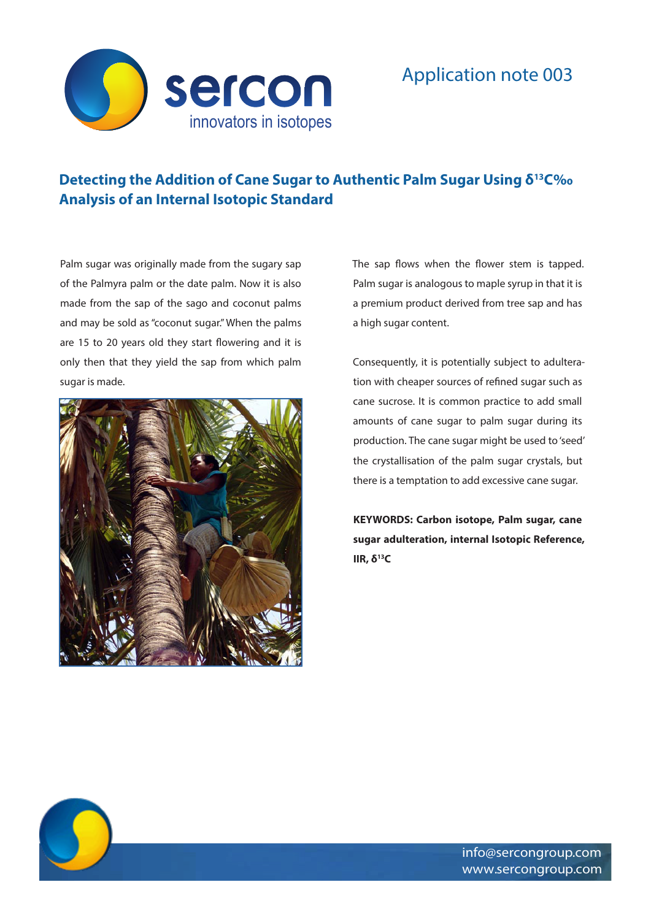

# Application note 003

# **Detecting the Addition of Cane Sugar to Authentic Palm Sugar Using δ13C‰ Analysis of an Internal Isotopic Standard**

Palm sugar was originally made from the sugary sap of the Palmyra palm or the date palm. Now it is also made from the sap of the sago and coconut palms and may be sold as "coconut sugar." When the palms are 15 to 20 years old they start flowering and it is only then that they yield the sap from which palm sugar is made.



Ċ,

The sap flows when the flower stem is tapped. Palm sugar is analogous to maple syrup in that it is a premium product derived from tree sap and has a high sugar content.

Consequently, it is potentially subject to adulteration with cheaper sources of refined sugar such as cane sucrose. It is common practice to add small amounts of cane sugar to palm sugar during its production. The cane sugar might be used to 'seed' the crystallisation of the palm sugar crystals, but there is a temptation to add excessive cane sugar.

**KEYWORDS: Carbon isotope, Palm sugar, cane sugar adulteration, internal Isotopic Reference, IIR, δ13C**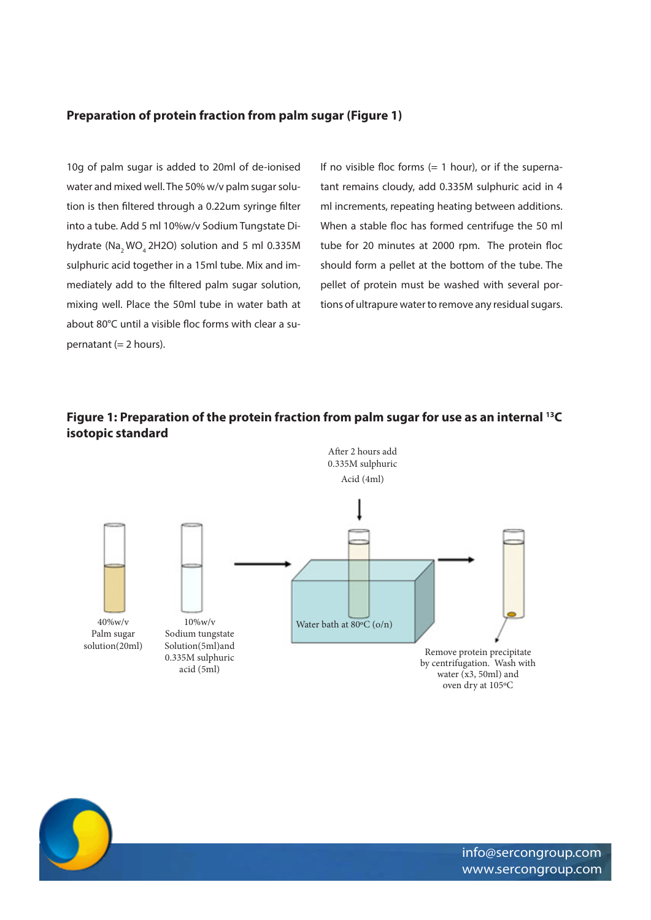## **Preparation of protein fraction from palm sugar (Figure 1)**

10g of palm sugar is added to 20ml of de-ionised water and mixed well. The 50% w/v palm sugar solution is then filtered through a 0.22um syringe filter into a tube. Add 5 ml 10%w/v Sodium Tungstate Dihydrate (Na<sub>2</sub> WO<sub>4</sub> 2H2O) solution and 5 ml 0.335M sulphuric acid together in a 15ml tube. Mix and immediately add to the filtered palm sugar solution, mixing well. Place the 50ml tube in water bath at about 80°C until a visible floc forms with clear a supernatant  $(= 2 \text{ hours}).$ 

If no visible floc forms  $(= 1$  hour), or if the supernatant remains cloudy, add 0.335M sulphuric acid in 4 ml increments, repeating heating between additions. When a stable floc has formed centrifuge the 50 ml tube for 20 minutes at 2000 rpm. The protein floc should form a pellet at the bottom of the tube. The pellet of protein must be washed with several portions of ultrapure water to remove any residual sugars.

# **Figure 1: Preparation of the protein fraction from palm sugar for use as an internal 13C isotopic standard**



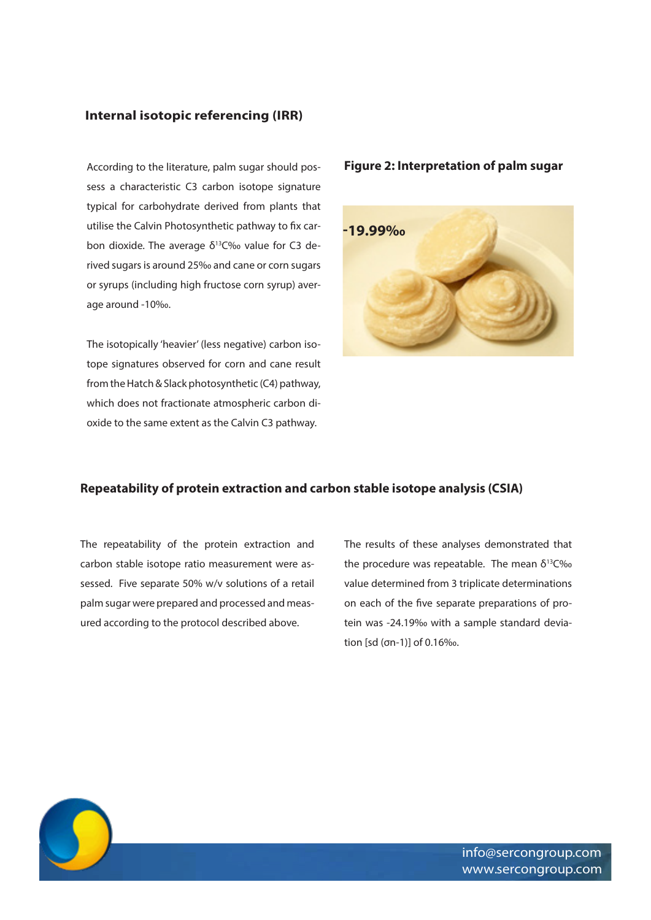## **Internal isotopic referencing (IRR)**

According to the literature, palm sugar should possess a characteristic C3 carbon isotope signature typical for carbohydrate derived from plants that utilise the Calvin Photosynthetic pathway to fix carbon dioxide. The average  $\delta^{13}C\%$  value for C3 derived sugars is around 25‰ and cane or corn sugars or syrups (including high fructose corn syrup) average around -10‰.

The isotopically 'heavier' (less negative) carbon isotope signatures observed for corn and cane result from the Hatch & Slack photosynthetic (C4) pathway, which does not fractionate atmospheric carbon dioxide to the same extent as the Calvin C3 pathway.

#### **Figure 2: Interpretation of palm sugar**



#### **Repeatability of protein extraction and carbon stable isotope analysis (CSIA)**

The repeatability of the protein extraction and carbon stable isotope ratio measurement were assessed. Five separate 50% w/v solutions of a retail palm sugar were prepared and processed and measured according to the protocol described above.

The results of these analyses demonstrated that the procedure was repeatable. The mean  $\delta^{13}C\%$ value determined from 3 triplicate determinations on each of the five separate preparations of protein was -24.19‰ with a sample standard deviation [sd (σn-1)] of 0.16‰.